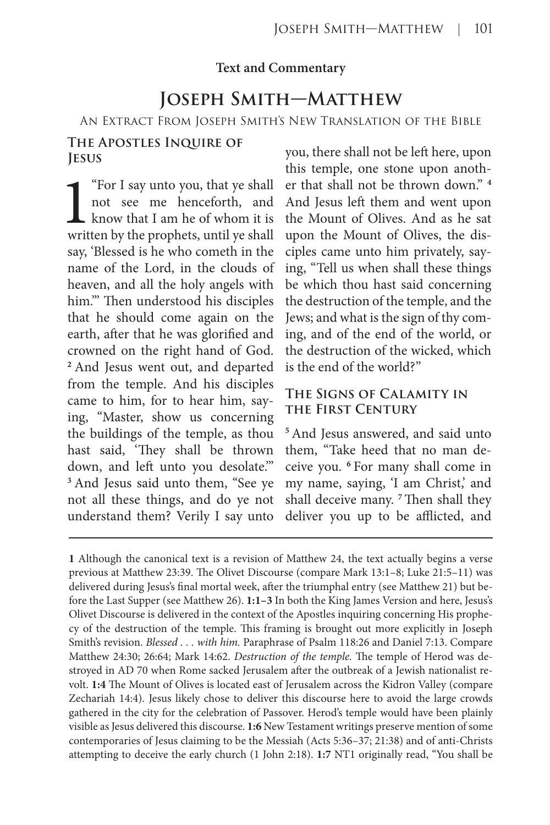#### **Text and Commentary**

# **Joseph Smith—Matthew**

An Extract From Joseph Smith's New Translation of the Bible

### **The Apostles Inquire of Jesus**

"For I say unto you, that ye shall not see me henceforth, and know that I am he of whom it is written by the prophets, until ye shall say, 'Blessed is he who cometh in the name of the Lord, in the clouds of heaven, and all the holy angels with him.'" Then understood his disciples that he should come again on the earth, after that he was glorified and crowned on the right hand of God. **<sup>2</sup>**And Jesus went out, and departed from the temple. And his disciples came to him, for to hear him, saying, "Master, show us concerning the buildings of the temple, as thou hast said, 'They shall be thrown down, and left unto you desolate.'" **<sup>3</sup>**And Jesus said unto them, "See ye not all these things, and do ye not understand them? Verily I say unto

you, there shall not be left here, upon this temple, one stone upon another that shall not be thrown down." **<sup>4</sup>** And Jesus left them and went upon the Mount of Olives. And as he sat upon the Mount of Olives, the disciples came unto him privately, saying, "Tell us when shall these things be which thou hast said concerning the destruction of the temple, and the Jews; and what is the sign of thy coming, and of the end of the world, or the destruction of the wicked, which is the end of the world?"

# **The Signs of Calamity in the First Century**

**<sup>5</sup>**And Jesus answered, and said unto them, "Take heed that no man deceive you. **<sup>6</sup>**For many shall come in my name, saying, 'I am Christ,' and shall deceive many. **<sup>7</sup>**Then shall they deliver you up to be afflicted, and

**<sup>1</sup>** Although the canonical text is a revision of Matthew 24, the text actually begins a verse previous at Matthew 23:39. The Olivet Discourse (compare Mark 13:1–8; Luke 21:5–11) was delivered during Jesus's final mortal week, after the triumphal entry (see Matthew 21) but before the Last Supper (see Matthew 26). **1:1–3** In both the King James Version and here, Jesus's Olivet Discourse is delivered in the context of the Apostles inquiring concerning His prophecy of the destruction of the temple. This framing is brought out more explicitly in Joseph Smith's revision. *Blessed . . . with him.* Paraphrase of Psalm 118:26 and Daniel 7:13. Compare Matthew 24:30; 26:64; Mark 14:62. *Destruction of the temple.* The temple of Herod was destroyed in AD 70 when Rome sacked Jerusalem after the outbreak of a Jewish nationalist revolt. **1:4** The Mount of Olives is located east of Jerusalem across the Kidron Valley (compare Zechariah 14:4). Jesus likely chose to deliver this discourse here to avoid the large crowds gathered in the city for the celebration of Passover. Herod's temple would have been plainly visible as Jesus delivered this discourse. **1:6** New Testament writings preserve mention of some contemporaries of Jesus claiming to be the Messiah (Acts 5:36–37; 21:38) and of anti-Christs attempting to deceive the early church (1 John 2:18). **1:7** NT1 originally read, "You shall be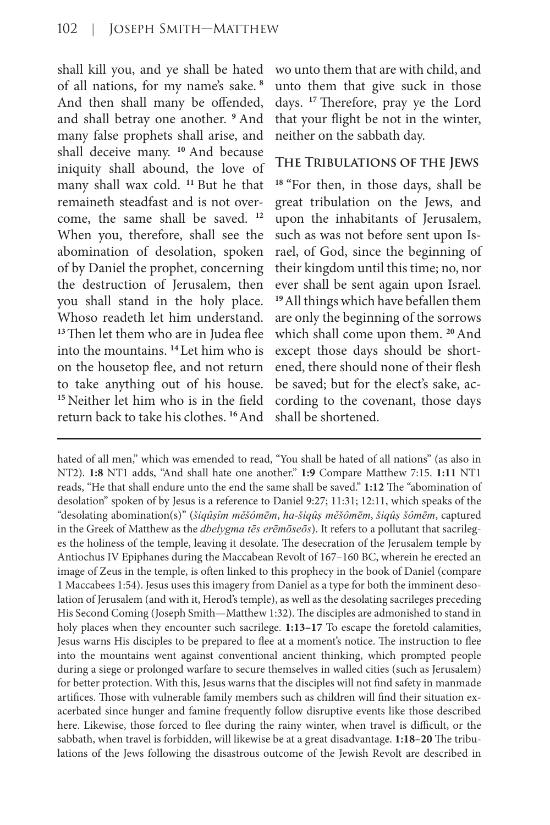shall kill you, and ye shall be hated of all nations, for my name's sake.**<sup>8</sup>** And then shall many be offended, and shall betray one another. **<sup>9</sup>**And many false prophets shall arise, and shall deceive many. <sup>10</sup> And because iniquity shall abound, the love of many shall wax cold. **<sup>11</sup>**But he that remaineth steadfast and is not overcome, the same shall be saved. **<sup>12</sup>** When you, therefore, shall see the abomination of desolation, spoken of by Daniel the prophet, concerning the destruction of Jerusalem, then you shall stand in the holy place. Whoso readeth let him understand. **<sup>13</sup>**Then let them who are in Judea flee into the mountains. **<sup>14</sup>**Let him who is on the housetop flee, and not return to take anything out of his house. **<sup>15</sup>**Neither let him who is in the field return back to take his clothes. **<sup>16</sup>**And

wo unto them that are with child, and unto them that give suck in those days. **<sup>17</sup>**Therefore, pray ye the Lord that your flight be not in the winter, neither on the sabbath day.

## **The Tribulations of the Jews**

**<sup>18</sup>**"For then, in those days, shall be great tribulation on the Jews, and upon the inhabitants of Jerusalem, such as was not before sent upon Israel, of God, since the beginning of their kingdom until this time; no, nor ever shall be sent again upon Israel. **<sup>19</sup>**All things which have befallen them are only the beginning of the sorrows which shall come upon them. **<sup>20</sup>**And except those days should be shortened, there should none of their flesh be saved; but for the elect's sake, according to the covenant, those days shall be shortened.

hated of all men," which was emended to read, "You shall be hated of all nations" (as also in NT2). **1:8** NT1 adds, "And shall hate one another." **1:9** Compare Matthew 7:15. **1:11** NT1 reads, "He that shall endure unto the end the same shall be saved." **1:12** The "abomination of desolation" spoken of by Jesus is a reference to Daniel 9:27; 11:31; 12:11, which speaks of the "desolating abomination(s)" (*šiqûṣîm mĕšômēm*, *ha-šiqûṣ mĕšômēm*, *šiqûṣ šômēm*, captured in the Greek of Matthew as the *dbelygma tēs erēmōseōs*). It refers to a pollutant that sacrileges the holiness of the temple, leaving it desolate. The desecration of the Jerusalem temple by Antiochus IV Epiphanes during the Maccabean Revolt of 167–160 BC, wherein he erected an image of Zeus in the temple, is often linked to this prophecy in the book of Daniel (compare 1 Maccabees 1:54). Jesus uses this imagery from Daniel as a type for both the imminent desolation of Jerusalem (and with it, Herod's temple), as well as the desolating sacrileges preceding His Second Coming (Joseph Smith—Matthew 1:32). The disciples are admonished to stand in holy places when they encounter such sacrilege. **1:13–17** To escape the foretold calamities, Jesus warns His disciples to be prepared to flee at a moment's notice. The instruction to flee into the mountains went against conventional ancient thinking, which prompted people during a siege or prolonged warfare to secure themselves in walled cities (such as Jerusalem) for better protection. With this, Jesus warns that the disciples will not find safety in manmade artifices. Those with vulnerable family members such as children will find their situation exacerbated since hunger and famine frequently follow disruptive events like those described here. Likewise, those forced to flee during the rainy winter, when travel is difficult, or the sabbath, when travel is forbidden, will likewise be at a great disadvantage. **1:18–20** The tribulations of the Jews following the disastrous outcome of the Jewish Revolt are described in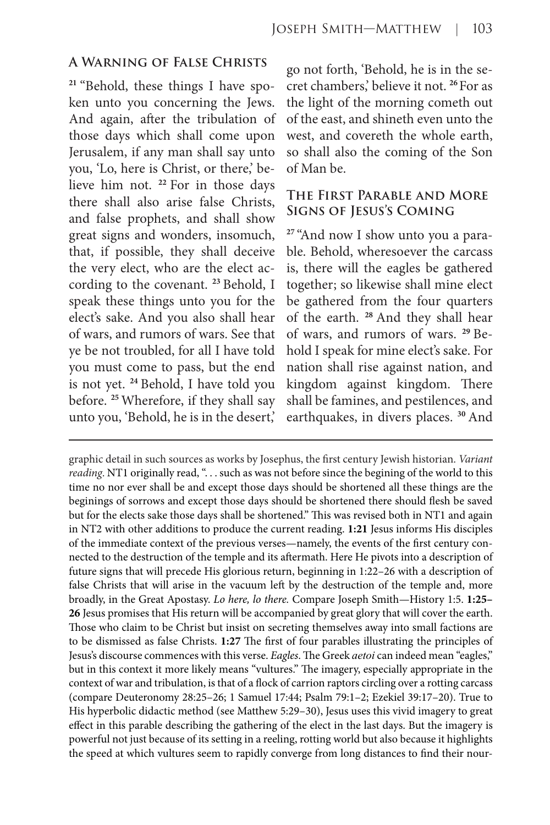#### **A Warning of False Christs**

**21** "Behold, these things I have spoken unto you concerning the Jews. And again, after the tribulation of those days which shall come upon Jerusalem, if any man shall say unto you, 'Lo, here is Christ, or there,' believe him not. **<sup>22</sup>**For in those days there shall also arise false Christs, and false prophets, and shall show great signs and wonders, insomuch, that, if possible, they shall deceive the very elect, who are the elect according to the covenant. **<sup>23</sup>**Behold, I speak these things unto you for the elect's sake. And you also shall hear of wars, and rumors of wars. See that ye be not troubled, for all I have told you must come to pass, but the end is not yet. **<sup>24</sup>**Behold, I have told you before. **<sup>25</sup>**Wherefore, if they shall say unto you, 'Behold, he is in the desert,'

go not forth, 'Behold, he is in the secret chambers,' believe it not. **<sup>26</sup>**For as the light of the morning cometh out of the east, and shineth even unto the west, and covereth the whole earth, so shall also the coming of the Son of Man be.

## **The First Parable and More Signs of Jesus's Coming**

**27** "And now I show unto you a parable. Behold, wheresoever the carcass is, there will the eagles be gathered together; so likewise shall mine elect be gathered from the four quarters of the earth. **<sup>28</sup>**And they shall hear of wars, and rumors of wars. **29** Behold I speak for mine elect's sake. For nation shall rise against nation, and kingdom against kingdom. There shall be famines, and pestilences, and earthquakes, in divers places. **<sup>30</sup>**And

graphic detail in such sources as works by Josephus, the first century Jewish historian. *Variant reading*. NT1 originally read, ". . . such as was not before since the begining of the world to this time no nor ever shall be and except those days should be shortened all these things are the beginings of sorrows and except those days should be shortened there should flesh be saved but for the elects sake those days shall be shortened." This was revised both in NT1 and again in NT2 with other additions to produce the current reading. **1:21** Jesus informs His disciples of the immediate context of the previous verses—namely, the events of the first century connected to the destruction of the temple and its aftermath. Here He pivots into a description of future signs that will precede His glorious return, beginning in 1:22–26 with a description of false Christs that will arise in the vacuum left by the destruction of the temple and, more broadly, in the Great Apostasy. *Lo here, lo there.* Compare Joseph Smith—History 1:5. **1:25– 26** Jesus promises that His return will be accompanied by great glory that will cover the earth. Those who claim to be Christ but insist on secreting themselves away into small factions are to be dismissed as false Christs. **1:27** The first of four parables illustrating the principles of Jesus's discourse commences with this verse. *Eagles*. The Greek *aetoi* can indeed mean "eagles," but in this context it more likely means "vultures." The imagery, especially appropriate in the context of war and tribulation, is that of a flock of carrion raptors circling over a rotting carcass (compare Deuteronomy 28:25–26; 1 Samuel 17:44; Psalm 79:1–2; Ezekiel 39:17–20). True to His hyperbolic didactic method (see Matthew 5:29–30), Jesus uses this vivid imagery to great effect in this parable describing the gathering of the elect in the last days. But the imagery is powerful not just because of its setting in a reeling, rotting world but also because it highlights the speed at which vultures seem to rapidly converge from long distances to find their nour-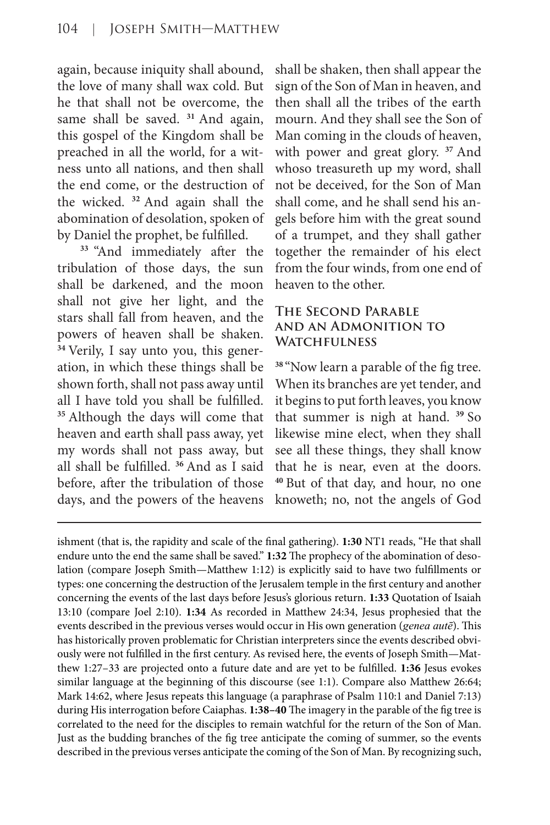again, because iniquity shall abound, the love of many shall wax cold. But he that shall not be overcome, the same shall be saved. **<sup>31</sup>**And again, this gospel of the Kingdom shall be preached in all the world, for a witness unto all nations, and then shall the end come, or the destruction of the wicked. **<sup>32</sup>**And again shall the abomination of desolation, spoken of by Daniel the prophet, be fulfilled.

**<sup>33</sup>** "And immediately after the tribulation of those days, the sun shall be darkened, and the moon shall not give her light, and the stars shall fall from heaven, and the powers of heaven shall be shaken. **34** Verily, I say unto you, this generation, in which these things shall be shown forth, shall not pass away until all I have told you shall be fulfilled. **<sup>35</sup>**Although the days will come that heaven and earth shall pass away, yet my words shall not pass away, but all shall be fulfilled. **<sup>36</sup>**And as I said before, after the tribulation of those days, and the powers of the heavens shall be shaken, then shall appear the sign of the Son of Man in heaven, and then shall all the tribes of the earth mourn. And they shall see the Son of Man coming in the clouds of heaven, with power and great glory. **<sup>37</sup>**And whoso treasureth up my word, shall not be deceived, for the Son of Man shall come, and he shall send his angels before him with the great sound of a trumpet, and they shall gather together the remainder of his elect from the four winds, from one end of heaven to the other.

# **The Second Parable and an Admonition to Watchfulness**

**<sup>38</sup>**"Now learn a parable of the fig tree. When its branches are yet tender, and it begins to put forth leaves, you know that summer is nigh at hand. **<sup>39</sup>**So likewise mine elect, when they shall see all these things, they shall know that he is near, even at the doors. **<sup>40</sup>**But of that day, and hour, no one knoweth; no, not the angels of God

ishment (that is, the rapidity and scale of the final gathering). **1:30** NT1 reads, "He that shall endure unto the end the same shall be saved." **1:32** The prophecy of the abomination of desolation (compare Joseph Smith—Matthew 1:12) is explicitly said to have two fulfillments or types: one concerning the destruction of the Jerusalem temple in the first century and another concerning the events of the last days before Jesus's glorious return. **1:33** Quotation of Isaiah 13:10 (compare Joel 2:10). **1:34** As recorded in Matthew 24:34, Jesus prophesied that the events described in the previous verses would occur in His own generation (*genea autē*). This has historically proven problematic for Christian interpreters since the events described obviously were not fulfilled in the first century. As revised here, the events of Joseph Smith—Matthew 1:27–33 are projected onto a future date and are yet to be fulfilled. **1:36** Jesus evokes similar language at the beginning of this discourse (see 1:1). Compare also Matthew 26:64; Mark 14:62, where Jesus repeats this language (a paraphrase of Psalm 110:1 and Daniel 7:13) during His interrogation before Caiaphas. **1:38–40** The imagery in the parable of the fig tree is correlated to the need for the disciples to remain watchful for the return of the Son of Man. Just as the budding branches of the fig tree anticipate the coming of summer, so the events described in the previous verses anticipate the coming of the Son of Man. By recognizing such,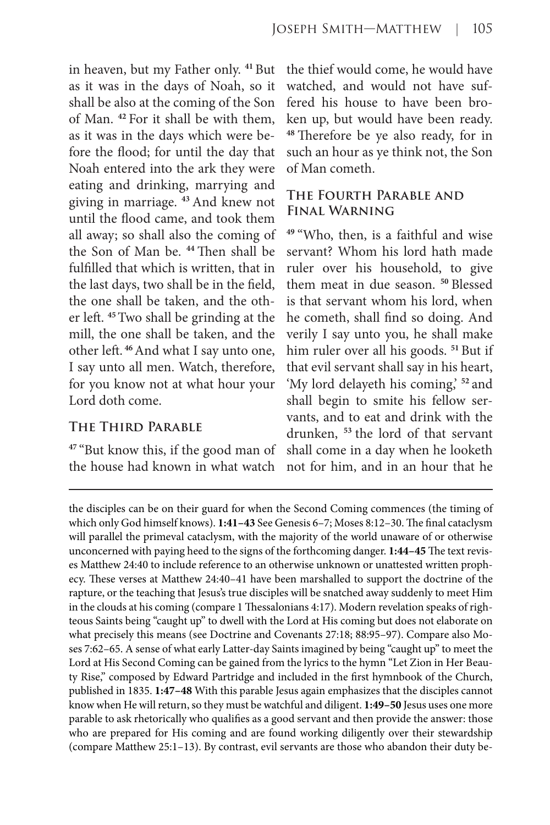in heaven, but my Father only. **<sup>41</sup>**But as it was in the days of Noah, so it shall be also at the coming of the Son of Man. **<sup>42</sup>**For it shall be with them, as it was in the days which were before the flood; for until the day that Noah entered into the ark they were eating and drinking, marrying and giving in marriage. **<sup>43</sup>**And knew not until the flood came, and took them all away; so shall also the coming of the Son of Man be. **<sup>44</sup>**Then shall be fulfilled that which is written, that in the last days, two shall be in the field, the one shall be taken, and the other left. **<sup>45</sup>**Two shall be grinding at the mill, the one shall be taken, and the other left.**<sup>46</sup>**And what I say unto one, I say unto all men. Watch, therefore, for you know not at what hour your Lord doth come.

#### **The Third Parable**

**<sup>47</sup>**"But know this, if the good man of the house had known in what watch

the thief would come, he would have watched, and would not have suffered his house to have been broken up, but would have been ready. **<sup>48</sup>**Therefore be ye also ready, for in such an hour as ye think not, the Son of Man cometh.

# **The Fourth Parable and Final Warning**

**<sup>49</sup>**"Who, then, is a faithful and wise servant? Whom his lord hath made ruler over his household, to give them meat in due season. <sup>50</sup> Blessed is that servant whom his lord, when he cometh, shall find so doing. And verily I say unto you, he shall make him ruler over all his goods. **<sup>51</sup>**But if that evil servant shall say in his heart, 'My lord delayeth his coming,' **<sup>52</sup>**and shall begin to smite his fellow servants, and to eat and drink with the drunken, **<sup>53</sup>**the lord of that servant shall come in a day when he looketh not for him, and in an hour that he

the disciples can be on their guard for when the Second Coming commences (the timing of which only God himself knows). **1:41–43** See Genesis 6–7; Moses 8:12–30. The final cataclysm will parallel the primeval cataclysm, with the majority of the world unaware of or otherwise unconcerned with paying heed to the signs of the forthcoming danger. **1:44–45** The text revises Matthew 24:40 to include reference to an otherwise unknown or unattested written prophecy. These verses at Matthew 24:40–41 have been marshalled to support the doctrine of the rapture, or the teaching that Jesus's true disciples will be snatched away suddenly to meet Him in the clouds at his coming (compare 1 Thessalonians 4:17). Modern revelation speaks of righteous Saints being "caught up" to dwell with the Lord at His coming but does not elaborate on what precisely this means (see Doctrine and Covenants 27:18; 88:95–97). Compare also Moses 7:62–65. A sense of what early Latter-day Saints imagined by being "caught up" to meet the Lord at His Second Coming can be gained from the lyrics to the hymn "Let Zion in Her Beauty Rise," composed by Edward Partridge and included in the first hymnbook of the Church, published in 1835. **1:47–48** With this parable Jesus again emphasizes that the disciples cannot know when He will return, so they must be watchful and diligent. **1:49–50** Jesus uses one more parable to ask rhetorically who qualifies as a good servant and then provide the answer: those who are prepared for His coming and are found working diligently over their stewardship (compare Matthew 25:1–13). By contrast, evil servants are those who abandon their duty be